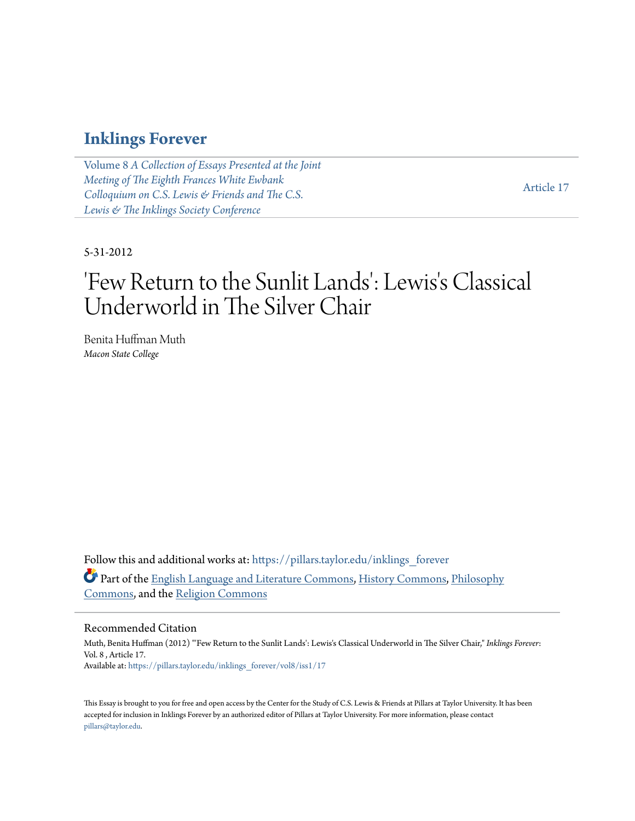### **[Inklings Forever](https://pillars.taylor.edu/inklings_forever?utm_source=pillars.taylor.edu%2Finklings_forever%2Fvol8%2Fiss1%2F17&utm_medium=PDF&utm_campaign=PDFCoverPages)**

Volume 8 *[A Collection of Essays Presented at the Joint](https://pillars.taylor.edu/inklings_forever/vol8?utm_source=pillars.taylor.edu%2Finklings_forever%2Fvol8%2Fiss1%2F17&utm_medium=PDF&utm_campaign=PDFCoverPages) [Meeting of The Eighth Frances White Ewbank](https://pillars.taylor.edu/inklings_forever/vol8?utm_source=pillars.taylor.edu%2Finklings_forever%2Fvol8%2Fiss1%2F17&utm_medium=PDF&utm_campaign=PDFCoverPages) [Colloquium on C.S. Lewis & Friends and The C.S.](https://pillars.taylor.edu/inklings_forever/vol8?utm_source=pillars.taylor.edu%2Finklings_forever%2Fvol8%2Fiss1%2F17&utm_medium=PDF&utm_campaign=PDFCoverPages) [Lewis & The Inklings Society Conference](https://pillars.taylor.edu/inklings_forever/vol8?utm_source=pillars.taylor.edu%2Finklings_forever%2Fvol8%2Fiss1%2F17&utm_medium=PDF&utm_campaign=PDFCoverPages)*

[Article 17](https://pillars.taylor.edu/inklings_forever/vol8/iss1/17?utm_source=pillars.taylor.edu%2Finklings_forever%2Fvol8%2Fiss1%2F17&utm_medium=PDF&utm_campaign=PDFCoverPages)

#### 5-31-2012

# 'Few Return to the Sunlit Lands': Lewis's Classical Underworld in The Silver Chair

Benita Huffman Muth *Macon State College*

Follow this and additional works at: [https://pillars.taylor.edu/inklings\\_forever](https://pillars.taylor.edu/inklings_forever?utm_source=pillars.taylor.edu%2Finklings_forever%2Fvol8%2Fiss1%2F17&utm_medium=PDF&utm_campaign=PDFCoverPages) Part of the [English Language and Literature Commons](http://network.bepress.com/hgg/discipline/455?utm_source=pillars.taylor.edu%2Finklings_forever%2Fvol8%2Fiss1%2F17&utm_medium=PDF&utm_campaign=PDFCoverPages), [History Commons,](http://network.bepress.com/hgg/discipline/489?utm_source=pillars.taylor.edu%2Finklings_forever%2Fvol8%2Fiss1%2F17&utm_medium=PDF&utm_campaign=PDFCoverPages) [Philosophy](http://network.bepress.com/hgg/discipline/525?utm_source=pillars.taylor.edu%2Finklings_forever%2Fvol8%2Fiss1%2F17&utm_medium=PDF&utm_campaign=PDFCoverPages) [Commons,](http://network.bepress.com/hgg/discipline/525?utm_source=pillars.taylor.edu%2Finklings_forever%2Fvol8%2Fiss1%2F17&utm_medium=PDF&utm_campaign=PDFCoverPages) and the [Religion Commons](http://network.bepress.com/hgg/discipline/538?utm_source=pillars.taylor.edu%2Finklings_forever%2Fvol8%2Fiss1%2F17&utm_medium=PDF&utm_campaign=PDFCoverPages)

### Recommended Citation

Muth, Benita Huffman (2012) "'Few Return to the Sunlit Lands': Lewis's Classical Underworld in The Silver Chair," *Inklings Forever*: Vol. 8 , Article 17. Available at: [https://pillars.taylor.edu/inklings\\_forever/vol8/iss1/17](https://pillars.taylor.edu/inklings_forever/vol8/iss1/17?utm_source=pillars.taylor.edu%2Finklings_forever%2Fvol8%2Fiss1%2F17&utm_medium=PDF&utm_campaign=PDFCoverPages)

This Essay is brought to you for free and open access by the Center for the Study of C.S. Lewis & Friends at Pillars at Taylor University. It has been accepted for inclusion in Inklings Forever by an authorized editor of Pillars at Taylor University. For more information, please contact [pillars@taylor.edu.](mailto:pillars@taylor.edu)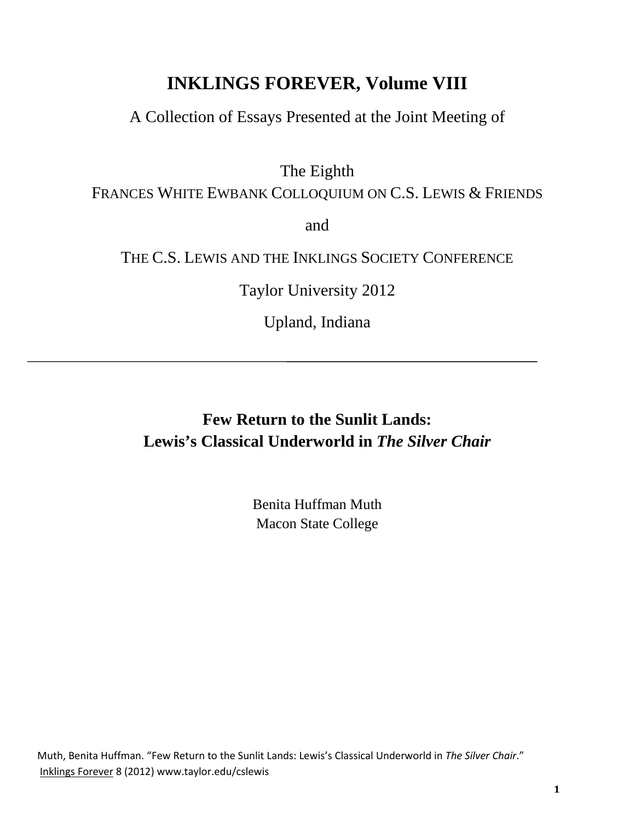# **INKLINGS FOREVER, Volume VIII**

A Collection of Essays Presented at the Joint Meeting of

The Eighth

FRANCES WHITE EWBANK COLLOQUIUM ON C.S. LEWIS & FRIENDS

and

THE C.S. LEWIS AND THE INKLINGS SOCIETY CONFERENCE

Taylor University 2012

Upland, Indiana

# **Few Return to the Sunlit Lands: Lewis's Classical Underworld in** *The Silver Chair*

Benita Huffman Muth Macon State College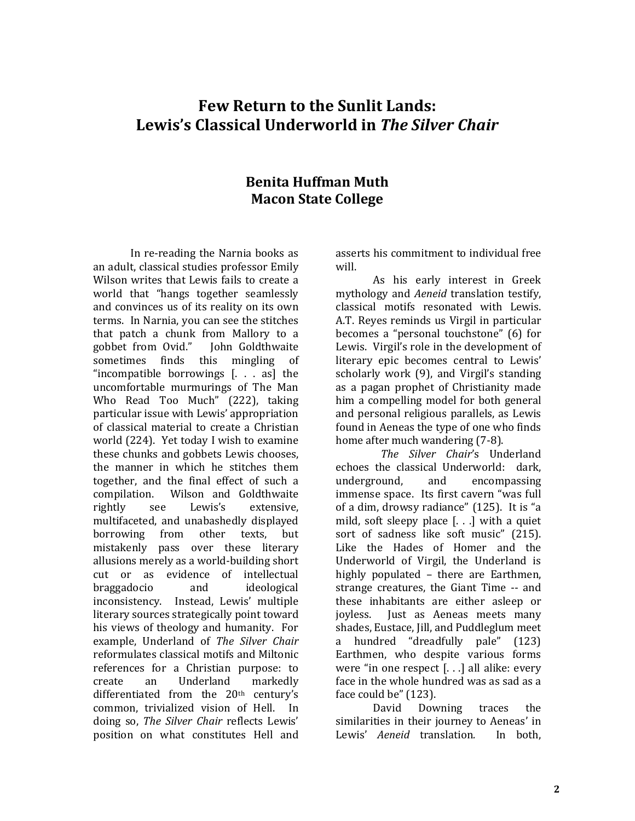## **Few Return to the Sunlit Lands: Lewis's Classical Underworld in** *The Silver Chair*

### **Benita Huffman Muth Macon State College**

In re-reading the Narnia books as an adult, classical studies professor Emily Wilson writes that Lewis fails to create a world that "hangs together seamlessly and convinces us of its reality on its own terms. In Narnia, you can see the stitches that patch a chunk from Mallory to a gobbet from Ovid." John Goldthwaite gobbet from Ovid."<br>sometimes finds finds this mingling of "incompatible borrowings [. . . as] the uncomfortable murmurings of The Man Who Read Too Much" (222), taking particular issue with Lewis' appropriation of classical material to create a Christian world (224). Yet today I wish to examine these chunks and gobbets Lewis chooses, the manner in which he stitches them together, and the final effect of such a compilation. Wilson and Goldthwaite<br>rightly see Lewis's extensive, rightly see Lewis's extensive, multifaceted, and unabashedly displayed borrowing from other texts, but mistakenly pass over these literary allusions merely as a world-building short cut or as evidence of intellectual<br>braggadocio and ideological braggadocio inconsistency. Instead, Lewis' multiple literary sources strategically point toward his views of theology and humanity. For example, Underland of *The Silver Chair* reformulates classical motifs and Miltonic references for a Christian purpose: to<br>create an Underland markedly markedly differentiated from the 20th century's common, trivialized vision of Hell. In doing so, *The Silver Chair* reflects Lewis' position on what constitutes Hell and

asserts his commitment to individual free will.

As his early interest in Greek mythology and *Aeneid* translation testify, classical motifs resonated with Lewis. A.T. Reyes reminds us Virgil in particular becomes a "personal touchstone" (6) for Lewis. Virgil's role in the development of literary epic becomes central to Lewis' scholarly work (9), and Virgil's standing as a pagan prophet of Christianity made him a compelling model for both general and personal religious parallels, as Lewis found in Aeneas the type of one who finds home after much wandering (7-8).

 *The Silver Chair*'s Underland echoes the classical Underworld: dark,<br>underground, and encompassing encompassing immense space. Its first cavern "was full of a dim, drowsy radiance" (125). It is "a mild, soft sleepy place [. . .] with a quiet sort of sadness like soft music" (215). Like the Hades of Homer and the Underworld of Virgil, the Underland is highly populated – there are Earthmen, strange creatures, the Giant Time -- and these inhabitants are either asleep or<br>iovless. Iust as Aeneas meets many Just as Aeneas meets many shades, Eustace, Jill, and Puddleglum meet<br>a hundred "dreadfully nale" (123) hundred "dreadfully pale" (123) Earthmen, who despite various forms were "in one respect [. . .] all alike: every face in the whole hundred was as sad as a

face could be" (123). Downing traces the similarities in their journey to Aeneas' in<br>Lewis' Aeneid translation. In both. Lewis' *Aeneid* translation.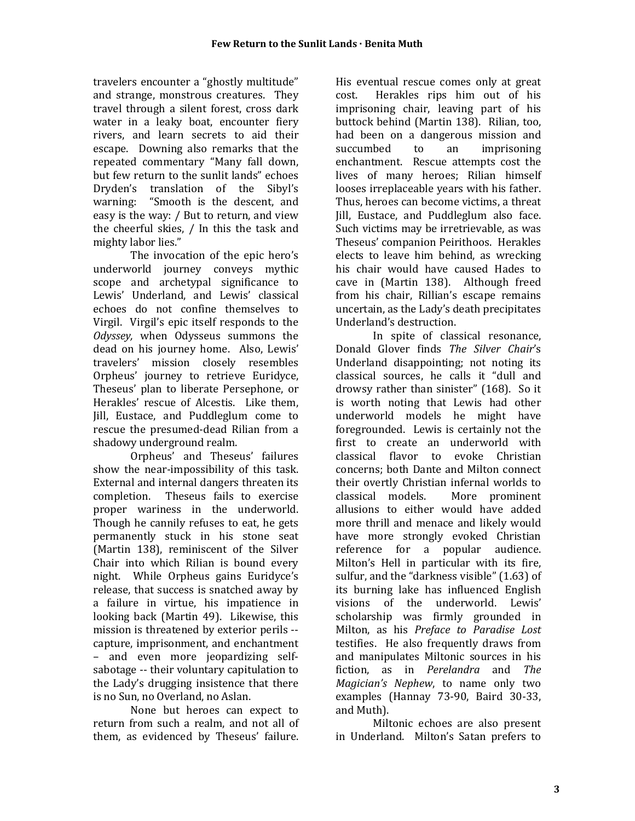travelers encounter a "ghostly multitude" and strange, monstrous creatures. They travel through a silent forest, cross dark water in a leaky boat, encounter fiery rivers, and learn secrets to aid their escape. Downing also remarks that the repeated commentary "Many fall down, but few return to the sunlit lands" echoes Dryden's translation of the Sibyl's<br>warning: "Smooth is the descent, and "Smooth is the descent, and easy is the way: / But to return, and view the cheerful skies, / In this the task and mighty labor lies."

The invocation of the epic hero's underworld journey conveys mythic scope and archetypal significance to Lewis' Underland, and Lewis' classical echoes do not confine themselves to Virgil. Virgil's epic itself responds to the *Odyssey,* when Odysseus summons the dead on his journey home. Also, Lewis' travelers' mission closely resembles Orpheus' journey to retrieve Euridyce, Theseus' plan to liberate Persephone, or Herakles' rescue of Alcestis. Like them, Jill, Eustace, and Puddleglum come to rescue the presumed-dead Rilian from a shadowy underground realm.

Orpheus' and Theseus' failures show the near-impossibility of this task. External and internal dangers threaten its completion. Theseus fails to exercise proper wariness in the underworld. Though he cannily refuses to eat, he gets permanently stuck in his stone seat (Martin 138), reminiscent of the Silver Chair into which Rilian is bound every night. While Orpheus gains Euridyce's release, that success is snatched away by a failure in virtue, his impatience in looking back (Martin 49). Likewise, this mission is threatened by exterior perils - capture, imprisonment, and enchantment – and even more jeopardizing selfsabotage -- their voluntary capitulation to the Lady's drugging insistence that there is no Sun, no Overland, no Aslan.

None but heroes can expect to return from such a realm, and not all of them, as evidenced by Theseus' failure.

His eventual rescue comes only at great<br>cost. Herakles rins him out of his Herakles rips him out of his imprisoning chair, leaving part of his buttock behind (Martin 138). Rilian, too, had been on a dangerous mission and<br>succumbed to an imprisoning imprisoning enchantment. Rescue attempts cost the lives of many heroes; Rilian himself looses irreplaceable years with his father. Thus, heroes can become victims, a threat Jill, Eustace, and Puddleglum also face. Such victims may be irretrievable, as was Theseus' companion Peirithoos. Herakles elects to leave him behind, as wrecking his chair would have caused Hades to cave in (Martin 138). Although freed from his chair, Rillian's escape remains uncertain, as the Lady's death precipitates Underland's destruction.

In spite of classical resonance, Donald Glover finds *The Silver Chair*'s Underland disappointing; not noting its classical sources, he calls it "dull and drowsy rather than sinister" (168). So it is worth noting that Lewis had other underworld models he might have foregrounded. Lewis is certainly not the first to create an underworld with classical flavor to evoke Christian concerns; both Dante and Milton connect their overtly Christian infernal worlds to More prominent allusions to either would have added more thrill and menace and likely would have more strongly evoked Christian reference for a popular audience. Milton's Hell in particular with its fire, sulfur, and the "darkness visible" (1.63) of its burning lake has influenced English visions of the underworld. Lewis' scholarship was firmly grounded in Milton, as his *Preface to Paradise Lost* testifies. He also frequently draws from and manipulates Miltonic sources in his fiction, as in *Perelandra* and *The Magician's Nephew*, to name only two examples (Hannay 73-90, Baird 30-33, and Muth).

Miltonic echoes are also present in Underland. Milton's Satan prefers to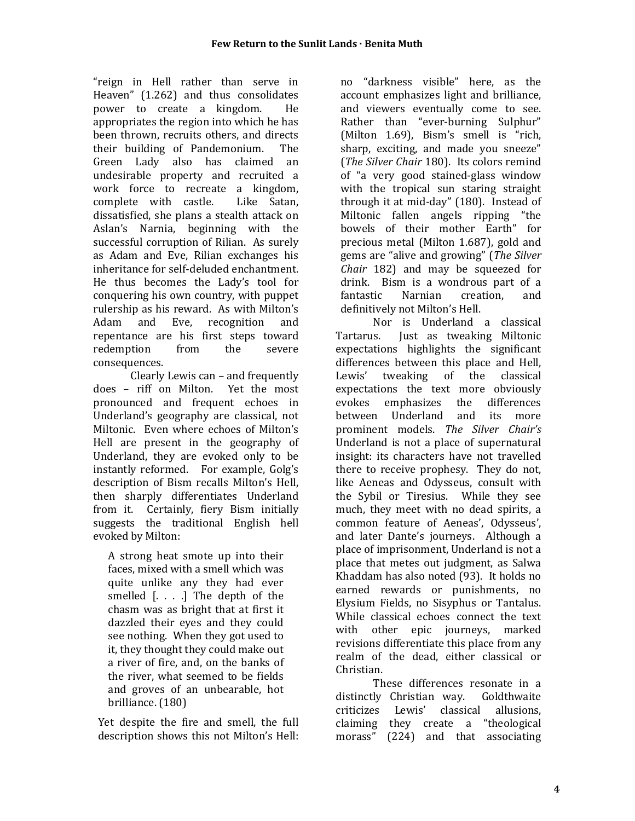"reign in Hell rather than serve in Heaven" (1.262) and thus consolidates<br>nower to create a kingdom. He power to create a kingdom. appropriates the region into which he has been thrown, recruits others, and directs<br>their building of Pandemonium. The their building of Pandemonium. Green Lady also has claimed an undesirable property and recruited a work force to recreate a kingdom,<br>complete with castle. Like Satan, complete with castle. dissatisfied, she plans a stealth attack on Aslan's Narnia, beginning with the successful corruption of Rilian. As surely as Adam and Eve, Rilian exchanges his inheritance for self-deluded enchantment. He thus becomes the Lady's tool for conquering his own country, with puppet rulership as his reward. As with Milton's<br>Adam and Eve, recognition and recognition repentance are his first steps toward<br>redemption from the severe redemption consequences.

Clearly Lewis can – and frequently does – riff on Milton. Yet the most pronounced and frequent echoes in Underland's geography are classical, not Miltonic. Even where echoes of Milton's Hell are present in the geography of Underland, they are evoked only to be instantly reformed. For example, Golg's description of Bism recalls Milton's Hell, then sharply differentiates Underland from it. Certainly, fiery Bism initially suggests the traditional English hell evoked by Milton:

A strong heat smote up into their faces, mixed with a smell which was quite unlike any they had ever smelled [. . . .] The depth of the chasm was as bright that at first it dazzled their eyes and they could see nothing. When they got used to it, they thought they could make out a river of fire, and, on the banks of the river, what seemed to be fields and groves of an unbearable, hot brilliance. (180)

Yet despite the fire and smell, the full description shows this not Milton's Hell:

no "darkness visible" here, as the account emphasizes light and brilliance, and viewers eventually come to see. Rather than "ever-burning Sulphur" (Milton 1.69), Bism's smell is "rich, sharp, exciting, and made you sneeze" (*The Silver Chair* 180). Its colors remind of "a very good stained-glass window with the tropical sun staring straight through it at mid-day" (180). Instead of Miltonic fallen angels ripping "the bowels of their mother Earth" for precious metal (Milton 1.687), gold and gems are "alive and growing" (*The Silver Chair* 182) and may be squeezed for drink. Bism is a wondrous part of a<br>fantastic Marnian creation. and creation. definitively not Milton's Hell.

Nor is Underland a classical<br>Tartarus. Just as tweaking Miltonic Just as tweaking Miltonic expectations highlights the significant differences between this place and Hell,<br>Lewis' tweaking of the classical tweaking of the expectations the text more obviously<br>evokes emphasizes the differences emphasizes the between Underland and its more prominent models. *The Silver Chair's* Underland is not a place of supernatural insight: its characters have not travelled there to receive prophesy. They do not, like Aeneas and Odysseus, consult with the Sybil or Tiresius. While they see much, they meet with no dead spirits, a common feature of Aeneas', Odysseus', and later Dante's journeys. Although a place of imprisonment, Underland is not a place that metes out judgment, as Salwa Khaddam has also noted (93). It holds no earned rewards or punishments, no Elysium Fields, no Sisyphus or Tantalus. While classical echoes connect the text with other epic journeys, marked revisions differentiate this place from any realm of the dead, either classical or Christian.

These differences resonate in a<br>ly Christian way. Goldthwaite distinctly Christian way. Goldthwaite<br>criticizes Lewis' classical allusions. criticizes Lewis' classical claiming they create a "theological morass" (224) and that associating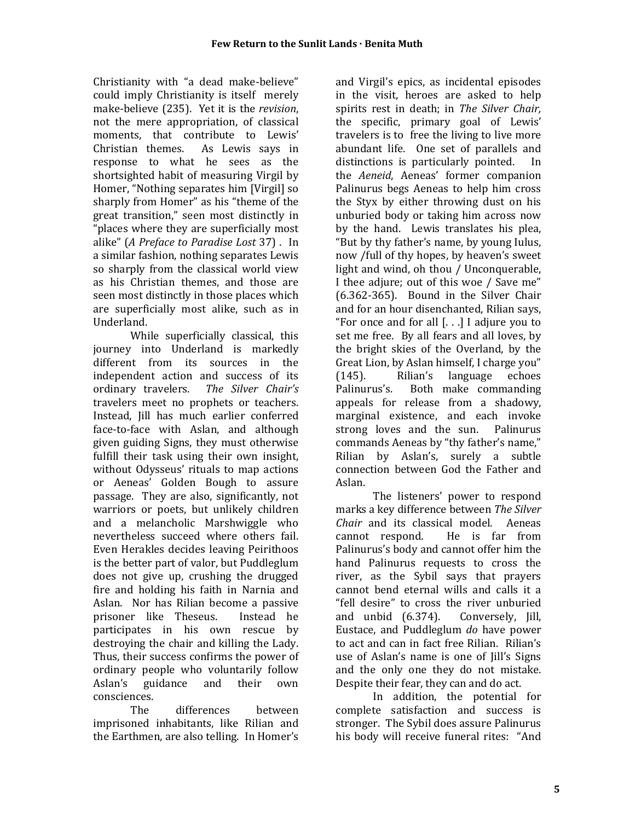Christianity with "a dead make-believe" could imply Christianity is itself merely make-believe (235). Yet it is the *revision*, not the mere appropriation, of classical moments, that contribute to Lewis'<br>Christian themes. As Lewis savs in As Lewis says in response to what he sees as the shortsighted habit of measuring Virgil by Homer, "Nothing separates him [Virgil] so sharply from Homer" as his "theme of the great transition," seen most distinctly in "places where they are superficially most alike" (*A Preface to Paradise Lost* 37) . In a similar fashion, nothing separates Lewis so sharply from the classical world view as his Christian themes, and those are seen most distinctly in those places which are superficially most alike, such as in Underland.

While superficially classical, this journey into Underland is markedly different from its sources in the independent action and success of its<br>ordinary travelers. The Silver Chair's ordinary travelers. *The Silver Chair's* travelers meet no prophets or teachers. Instead, Jill has much earlier conferred face-to-face with Aslan, and although given guiding Signs, they must otherwise fulfill their task using their own insight, without Odysseus' rituals to map actions or Aeneas' Golden Bough to assure passage. They are also, significantly, not warriors or poets, but unlikely children and a melancholic Marshwiggle who nevertheless succeed where others fail. Even Herakles decides leaving Peirithoos is the better part of valor, but Puddleglum does not give up, crushing the drugged fire and holding his faith in Narnia and Aslan. Nor has Rilian become a passive<br>prisoner like Theseus. Instead he prisoner like Theseus. participates in his own rescue by destroying the chair and killing the Lady. Thus, their success confirms the power of ordinary people who voluntarily follow<br>Aslan's guidance and their own guidance consciences.<br>The

The differences between imprisoned inhabitants, like Rilian and the Earthmen, are also telling. In Homer's and Virgil's epics, as incidental episodes in the visit, heroes are asked to help spirits rest in death; in *The Silver Chair,*  the specific, primary goal of Lewis' travelers is to free the living to live more abundant life. One set of parallels and<br>distinctions is particularly pointed. In distinctions is particularly pointed. the *Aeneid*, Aeneas' former companion Palinurus begs Aeneas to help him cross the Styx by either throwing dust on his unburied body or taking him across now by the hand. Lewis translates his plea, "But by thy father's name, by young Iulus, now /full of thy hopes, by heaven's sweet light and wind, oh thou / Unconquerable, I thee adjure; out of this woe / Save me" (6.362-365). Bound in the Silver Chair and for an hour disenchanted, Rilian says, "For once and for all [. . .] I adjure you to set me free. By all fears and all loves, by the bright skies of the Overland, by the Great Lion, by Aslan himself, I charge you" (145). Rilian's language<br>Palinurus's. Both make com Both make commanding appeals for release from a shadowy, marginal existence, and each invoke<br>strong loves and the sun. Palinurus strong loves and the sun. commands Aeneas by "thy father's name," Rilian by Aslan's, surely a subtle connection between God the Father and Aslan.

The listeners' power to respond marks a key difference between *The Silver Chair* and its classical model. Aeneas cannot respond. He is far from He is far from Palinurus's body and cannot offer him the hand Palinurus requests to cross the river, as the Sybil says that prayers cannot bend eternal wills and calls it a "fell desire" to cross the river unburied<br>and unbid (6.374). Conversely, [ill, and unbid  $(6.374)$ . Eustace, and Puddleglum *do* have power to act and can in fact free Rilian. Rilian's use of Aslan's name is one of Jill's Signs and the only one they do not mistake. Despite their fear, they can and do act.

In addition, the potential for complete satisfaction and success is stronger. The Sybil does assure Palinurus his body will receive funeral rites: "And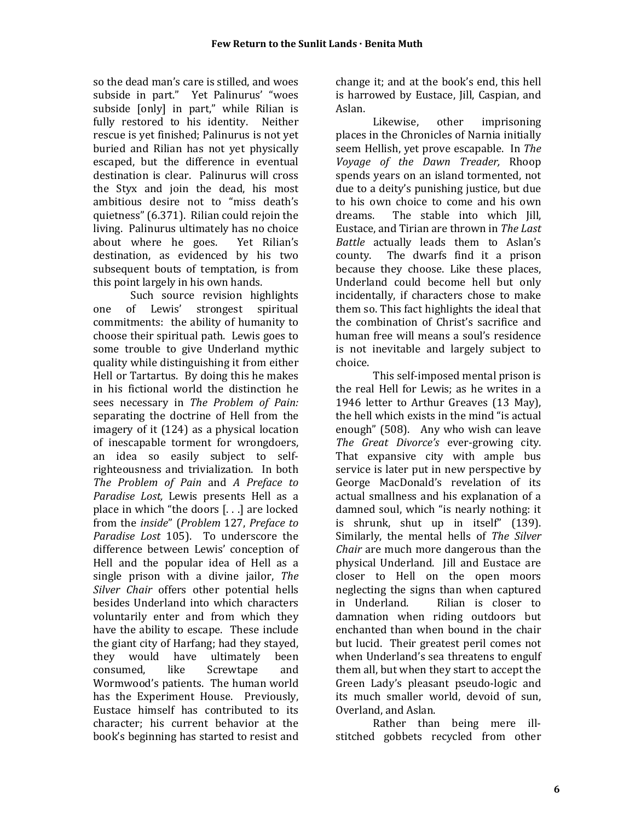so the dead man's care is stilled, and woes subside in part." Yet Palinurus' "woes subside [only] in part," while Rilian is fully restored to his identity. Neither rescue is yet finished; Palinurus is not yet buried and Rilian has not yet physically escaped, but the difference in eventual destination is clear. Palinurus will cross the Styx and join the dead, his most ambitious desire not to "miss death's quietness" (6.371). Rilian could rejoin the living. Palinurus ultimately has no choice<br>about where he goes. Yet Rilian's about where he goes. destination, as evidenced by his two subsequent bouts of temptation, is from this point largely in his own hands.

Such source revision highlights<br>of Lewis' strongest spiritual one of Lewis' strongest spiritual commitments: the ability of humanity to choose their spiritual path. Lewis goes to some trouble to give Underland mythic quality while distinguishing it from either Hell or Tartartus. By doing this he makes in his fictional world the distinction he sees necessary in *The Problem of Pain:*  separating the doctrine of Hell from the imagery of it (124) as a physical location of inescapable torment for wrongdoers, an idea so easily subject to selfrighteousness and trivialization. In both *The Problem of Pain* and *A Preface to Paradise Lost,* Lewis presents Hell as a place in which "the doors [. . .] are locked from the *inside*" (*Problem* 127, *Preface to Paradise Lost* 105). To underscore the difference between Lewis' conception of Hell and the popular idea of Hell as a single prison with a divine jailor, *The Silver Chair* offers other potential hells besides Underland into which characters voluntarily enter and from which they have the ability to escape. These include the giant city of Harfang; had they stayed,<br>they would have ultimately been they would have ultimately<br>consumed, like Screwtape consumed, like Screwtape and Wormwood's patients. The human world has the Experiment House. Previously, Eustace himself has contributed to its character; his current behavior at the book's beginning has started to resist and

change it; and at the book's end, this hell is harrowed by Eustace, Jill, Caspian, and Aslan.

Likewise, other imprisoning places in the Chronicles of Narnia initially seem Hellish, yet prove escapable. In *The Voyage of the Dawn Treader,* Rhoop spends years on an island tormented, not due to a deity's punishing justice, but due to his own choice to come and his own<br>dreams. The stable into which [ill] The stable into which Jill, Eustace, and Tirian are thrown in *The Last Battle* actually leads them to Aslan's county. The dwarfs find it a prison The dwarfs find it a prison because they choose. Like these places, Underland could become hell but only incidentally, if characters chose to make them so. This fact highlights the ideal that the combination of Christ's sacrifice and human free will means a soul's residence is not inevitable and largely subject to choice.

This self-imposed mental prison is the real Hell for Lewis; as he writes in a 1946 letter to Arthur Greaves (13 May), the hell which exists in the mind "is actual enough" (508). Any who wish can leave *The Great Divorce's* ever-growing city. That expansive city with ample bus service is later put in new perspective by George MacDonald's revelation of its actual smallness and his explanation of a damned soul, which "is nearly nothing: it is shrunk, shut up in itself" (139). Similarly, the mental hells of *The Silver Chair* are much more dangerous than the physical Underland. Jill and Eustace are closer to Hell on the open moors neglecting the signs than when captured<br>in Underland. Rilian is closer to Rilian is closer to damnation when riding outdoors but enchanted than when bound in the chair but lucid. Their greatest peril comes not when Underland's sea threatens to engulf them all, but when they start to accept the Green Lady's pleasant pseudo-logic and its much smaller world, devoid of sun, Overland, and Aslan.

Rather than being mere illstitched gobbets recycled from other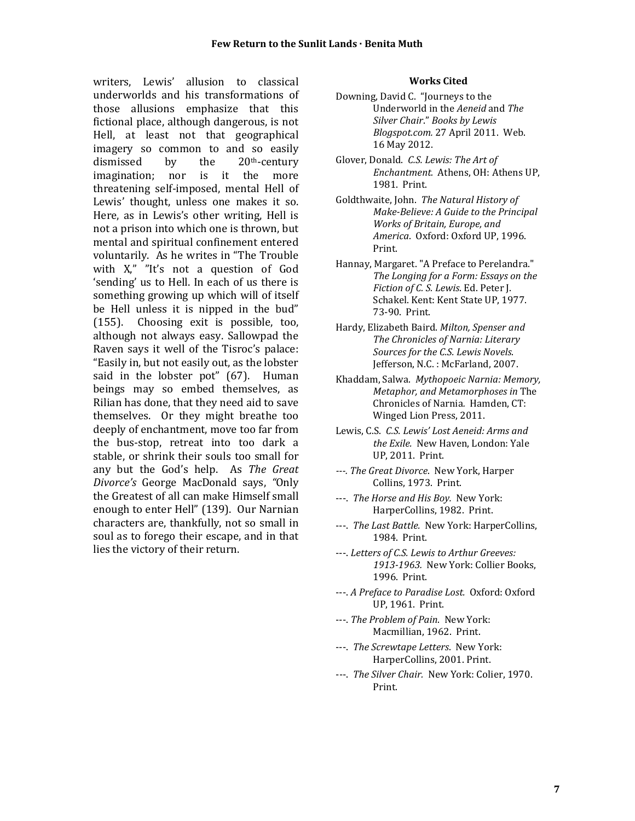writers, Lewis' allusion to classical underworlds and his transformations of those allusions emphasize that this fictional place, although dangerous, is not Hell, at least not that geographical imagery so common to and so easily<br>dismissed by the 20<sup>th</sup>-century  $20<sup>th</sup>$ -century imagination; nor is it the more threatening self-imposed, mental Hell of Lewis' thought, unless one makes it so. Here, as in Lewis's other writing, Hell is not a prison into which one is thrown, but mental and spiritual confinement entered voluntarily. As he writes in "The Trouble with X," "It's not a question of God 'sending' us to Hell. In each of us there is something growing up which will of itself be Hell unless it is nipped in the bud" (155). Choosing exit is possible, too, although not always easy. Sallowpad the Raven says it well of the Tisroc's palace: "Easily in, but not easily out, as the lobster said in the lobster pot" (67). Human beings may so embed themselves, as Rilian has done, that they need aid to save themselves. Or they might breathe too deeply of enchantment, move too far from the bus-stop, retreat into too dark a stable, or shrink their souls too small for any but the God's help. As *The Great Divorce's* George MacDonald says, *"*Only the Greatest of all can make Himself small enough to enter Hell" (139). Our Narnian characters are, thankfully, not so small in soul as to forego their escape, and in that lies the victory of their return.

#### **Works Cited**

- Downing, David C. "Journeys to the Underworld in the *Aeneid* and *The Silver Chair*." *Books by Lewis Blogspot.com.* 27 April 2011. Web. 16 May 2012.
- Glover, Donald. *C.S. Lewis: The Art of Enchantment.* Athens, OH: Athens UP, 1981. Print.
- Goldthwaite, John. *The Natural History of Make-Believe: A Guide to the Principal Works of Britain, Europe, and America*. Oxford: Oxford UP, 1996. Print.
- Hannay, Margaret. "A Preface to Perelandra." *The Longing for a Form: Essays on the Fiction of C. S. Lewis*. Ed. Peter J. Schakel. Kent: Kent State UP, 1977. 73-90. Print.
- Hardy, Elizabeth Baird. *Milton, Spenser and The Chronicles of Narnia: Literary Sources for the C.S. Lewis Novels*. Jefferson, N.C. : McFarland, 2007.
- Khaddam, Salwa. *Mythopoeic Narnia: Memory, Metaphor, and Metamorphoses in* The Chronicles of Narnia*.* Hamden, CT: Winged Lion Press, 2011.
- Lewis, C.S. *C.S. Lewis' Lost Aeneid: Arms and the Exile.* New Haven, London: Yale UP, 2011. Print.
- *---. The Great Divorce*. New York, Harper Collins, 1973. Print.
- ---. *The Horse and His Boy.* New York: HarperCollins, 1982. Print.
- ---. *The Last Battle.* New York: HarperCollins, 1984. Print.
- ---. *Letters of C.S. Lewis to Arthur Greeves: 1913-1963.* New York: Collier Books, 1996. Print.
- ---. *A Preface to Paradise Lost.* Oxford: Oxford UP, 1961. Print.
- ---. *The Problem of Pain*. New York: Macmillian, 1962. Print.
- ---. *The Screwtape Letters*. New York: HarperCollins, 2001. Print.
- ---. *The Silver Chair.* New York: Colier, 1970. Print.